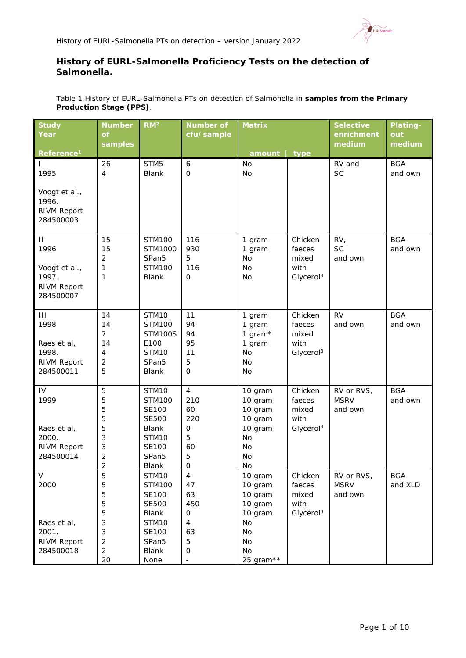

# **History of EURL-***Salmonella* **Proficiency Tests on the detection of**  *Salmonella.*

| Table 1 History of EURL-Salmonella PTs on detection of Salmonella in samples from the Primary |  |
|-----------------------------------------------------------------------------------------------|--|
| <b>Production Stage (PPS).</b>                                                                |  |

| <b>Study</b>                    | <b>Number</b>           | RM <sup>2</sup>                        | <b>Number of</b>     | <b>Matrix</b>      |                               | <b>Selective</b> | Plating-   |
|---------------------------------|-------------------------|----------------------------------------|----------------------|--------------------|-------------------------------|------------------|------------|
| Year                            | <b>of</b>               |                                        | cfu/sample           |                    |                               | enrichment       | out        |
| Reference <sup>1</sup>          | samples                 |                                        |                      | amount             | type                          | medium           | medium     |
| $\mathbf{I}$                    | 26                      | STM <sub>5</sub>                       | $\boldsymbol{6}$     | <b>No</b>          |                               | RV and           | <b>BGA</b> |
| 1995                            | 4                       | <b>Blank</b>                           | $\mathbf 0$          | No                 |                               | <b>SC</b>        | and own    |
|                                 |                         |                                        |                      |                    |                               |                  |            |
| Voogt et al.,                   |                         |                                        |                      |                    |                               |                  |            |
| 1996.                           |                         |                                        |                      |                    |                               |                  |            |
| <b>RIVM Report</b>              |                         |                                        |                      |                    |                               |                  |            |
| 284500003                       |                         |                                        |                      |                    |                               |                  |            |
| $\mathbf{H}$                    | 15                      | <b>STM100</b>                          | 116                  | 1 gram             | Chicken                       | RV <sub>1</sub>  | <b>BGA</b> |
| 1996                            | 15                      | STM1000                                | 930                  | 1 gram             | faeces                        | <b>SC</b>        | and own    |
|                                 | 2                       | SPan <sub>5</sub>                      | 5                    | <b>No</b>          | mixed                         | and own          |            |
| Voogt et al.,                   | 1                       | <b>STM100</b>                          | 116                  | <b>No</b>          | with                          |                  |            |
| 1997.                           | 1                       | <b>Blank</b>                           | $\mathbf 0$          | <b>No</b>          | Glycerol <sup>3</sup>         |                  |            |
| <b>RIVM Report</b><br>284500007 |                         |                                        |                      |                    |                               |                  |            |
|                                 |                         |                                        |                      |                    |                               |                  |            |
| $\mathbf{III}$                  | 14                      | <b>STM10</b>                           | 11                   | 1 gram             | Chicken                       | <b>RV</b>        | <b>BGA</b> |
| 1998                            | 14                      | STM100                                 | 94                   | 1 gram             | faeces                        | and own          | and own    |
|                                 | $\overline{7}$          | <b>STM100S</b>                         | 94                   | 1 gram $*$         | mixed                         |                  |            |
| Raes et al,                     | 14                      | E100                                   | 95                   | 1 gram             | with                          |                  |            |
| 1998.<br><b>RIVM Report</b>     | 4<br>$\overline{2}$     | STM <sub>10</sub><br>SPan <sub>5</sub> | 11<br>5              | <b>No</b><br>No    | Glycerol <sup>3</sup>         |                  |            |
| 284500011                       | 5                       | <b>Blank</b>                           | $\mathbf 0$          | No                 |                               |                  |            |
|                                 |                         |                                        |                      |                    |                               |                  |            |
| IV                              | 5                       | <b>STM10</b>                           | $\overline{4}$       | 10 gram            | Chicken                       | RV or RVS,       | <b>BGA</b> |
| 1999                            | 5                       | <b>STM100</b>                          | 210                  | 10 gram            | faeces                        | <b>MSRV</b>      | and own    |
|                                 | 5                       | <b>SE100</b>                           | 60                   | 10 gram            | mixed                         | and own          |            |
| Raes et al,                     | 5<br>5                  | <b>SE500</b><br><b>Blank</b>           | 220<br>$\mathsf{O}$  | 10 gram<br>10 gram | with<br>Glycerol <sup>3</sup> |                  |            |
| 2000.                           | 3                       | STM10                                  | 5                    | No                 |                               |                  |            |
| <b>RIVM Report</b>              | 3                       | <b>SE100</b>                           | 60                   | No                 |                               |                  |            |
| 284500014                       | $\overline{2}$          | SPan <sub>5</sub>                      | 5                    | No                 |                               |                  |            |
|                                 | $\overline{\mathbf{c}}$ | Blank                                  | $\hbox{O}$           | No                 |                               |                  |            |
| V                               | 5                       | STM10                                  | $\overline{4}$       | 10 gram            | Chicken                       | RV or RVS,       | <b>BGA</b> |
| 2000                            | 5                       | <b>STM100</b>                          | 47                   | 10 gram            | faeces                        | <b>MSRV</b>      | and XLD    |
|                                 | 5                       | <b>SE100</b>                           | 63                   | 10 gram            | mixed                         | and own          |            |
|                                 | 5                       | <b>SE500</b>                           | 450                  | 10 gram            | with                          |                  |            |
|                                 | 5                       | Blank                                  | 0                    | 10 gram            | Glycerol <sup>3</sup>         |                  |            |
| Raes et al,<br>2001.            | 3<br>3                  | STM10<br><b>SE100</b>                  | $\overline{4}$<br>63 | No<br>No           |                               |                  |            |
| <b>RIVM Report</b>              | $\overline{c}$          | SPan5                                  | 5                    | No                 |                               |                  |            |
| 284500018                       | $\overline{2}$          | <b>Blank</b>                           | $\mathbf 0$          | No                 |                               |                  |            |
|                                 | 20                      | None                                   |                      | 25 gram**          |                               |                  |            |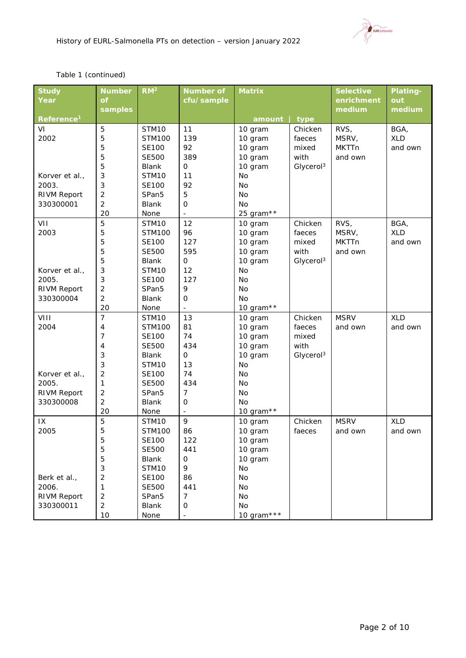EURL Salmonella

### *Table 1 (continued)*

| <b>Study</b>           | <b>Number</b>        | $\overline{RM^2}$             | <b>Number of</b>         | <b>Matrix</b>      |                       | <b>Selective</b> | Plating-   |
|------------------------|----------------------|-------------------------------|--------------------------|--------------------|-----------------------|------------------|------------|
| Year                   | of                   |                               | cfu/sample               |                    |                       | enrichment       | out        |
|                        | samples              |                               |                          |                    |                       | medium           | medium     |
| Reference <sup>1</sup> |                      |                               |                          | amount             | type                  |                  |            |
| VI                     | 5                    | STM10                         | 11                       | 10 gram            | Chicken               | RVS,             | BGA,       |
| 2002                   | 5                    | <b>STM100</b>                 | 139                      | 10 gram            | faeces                | MSRV,            | <b>XLD</b> |
|                        | 5                    | <b>SE100</b>                  | 92                       | 10 gram            | mixed                 | <b>MKTTn</b>     | and own    |
|                        | 5                    | <b>SE500</b>                  | 389                      | 10 gram            | with                  | and own          |            |
|                        | 5                    | <b>Blank</b>                  | $\mathsf O$              | 10 gram            | Glycerol <sup>3</sup> |                  |            |
| Korver et al.,         | 3                    | STM <sub>10</sub>             | 11                       | <b>No</b>          |                       |                  |            |
| 2003.                  | 3                    | <b>SE100</b>                  | 92                       | <b>No</b>          |                       |                  |            |
| <b>RIVM Report</b>     | $\overline{c}$       | SPan <sub>5</sub>             | 5                        | <b>No</b>          |                       |                  |            |
| 330300001              | $\overline{c}$       | <b>Blank</b>                  | $\mathbf 0$              | <b>No</b>          |                       |                  |            |
|                        | 20                   | None                          | $\overline{\phantom{a}}$ | 25 gram**          |                       |                  |            |
| VII                    | 5                    | STM <sub>10</sub>             | 12                       | 10 gram            | Chicken               | RVS,             | BGA,       |
| 2003                   | 5                    | <b>STM100</b>                 | 96                       | 10 gram            | faeces                | MSRV,            | <b>XLD</b> |
|                        | 5                    | <b>SE100</b>                  | 127                      | 10 gram            | mixed                 | <b>MKTTn</b>     | and own    |
|                        | 5                    | <b>SE500</b>                  | 595                      | 10 gram            | with                  | and own          |            |
|                        | 5                    | <b>Blank</b>                  | $\mathsf{O}$             | 10 gram            | Glycerol <sup>3</sup> |                  |            |
| Korver et al.,         | 3                    | STM <sub>10</sub>             | 12                       | <b>No</b>          |                       |                  |            |
| 2005.                  | 3                    | <b>SE100</b>                  | 127                      | <b>No</b>          |                       |                  |            |
| <b>RIVM Report</b>     | 2                    | SPan <sub>5</sub>             | 9                        | No                 |                       |                  |            |
| 330300004              | $\overline{2}$       | <b>Blank</b>                  | $\mathsf{O}$             | <b>No</b>          |                       |                  |            |
|                        | 20<br>$\overline{7}$ | None                          | $\blacksquare$           | 10 gram**          |                       | <b>MSRV</b>      | <b>XLD</b> |
| VIII<br>2004           | 4                    | STM10                         | 13<br>81                 | 10 gram            | Chicken               |                  |            |
|                        | $\overline{7}$       | <b>STM100</b><br><b>SE100</b> | 74                       | 10 gram            | faeces<br>mixed       | and own          | and own    |
|                        | 4                    | <b>SE500</b>                  | 434                      | 10 gram<br>10 gram | with                  |                  |            |
|                        | 3                    | <b>Blank</b>                  | $\mathsf{O}$             | 10 gram            | Glycerol <sup>3</sup> |                  |            |
|                        | 3                    | STM <sub>10</sub>             | 13                       | <b>No</b>          |                       |                  |            |
| Korver et al.,         | 2                    | <b>SE100</b>                  | 74                       | No                 |                       |                  |            |
| 2005.                  | 1                    | <b>SE500</b>                  | 434                      | <b>No</b>          |                       |                  |            |
| <b>RIVM Report</b>     | 2                    | SPan <sub>5</sub>             | $\overline{7}$           | <b>No</b>          |                       |                  |            |
| 330300008              | 2                    | <b>Blank</b>                  | $\mathbf 0$              | No                 |                       |                  |            |
|                        | 20                   | None                          | $\overline{a}$           | 10 gram $**$       |                       |                  |            |
| 1X                     | 5                    | STM <sub>10</sub>             | 9                        | 10 gram            | Chicken               | <b>MSRV</b>      | <b>XLD</b> |
| 2005                   | 5                    | <b>STM100</b>                 | 86                       | 10 gram            | faeces                | and own          | and own    |
|                        | 5                    | <b>SE100</b>                  | 122                      | 10 gram            |                       |                  |            |
|                        | 5                    | <b>SE500</b>                  | 441                      | 10 gram            |                       |                  |            |
|                        | 5                    | Blank                         | $\mathbf 0$              | 10 gram            |                       |                  |            |
|                        | 3                    | STM10                         | 9                        | No                 |                       |                  |            |
| Berk et al.,           | 2                    | SE100                         | 86                       | No                 |                       |                  |            |
| 2006.                  | 1                    | <b>SE500</b>                  | 441                      | No                 |                       |                  |            |
| <b>RIVM Report</b>     | $\overline{c}$       | SPan <sub>5</sub>             | 7                        | No                 |                       |                  |            |
| 330300011              | $\overline{2}$       | Blank                         | 0                        | No                 |                       |                  |            |
|                        | 10                   | None                          | $\frac{1}{2}$            | 10 gram***         |                       |                  |            |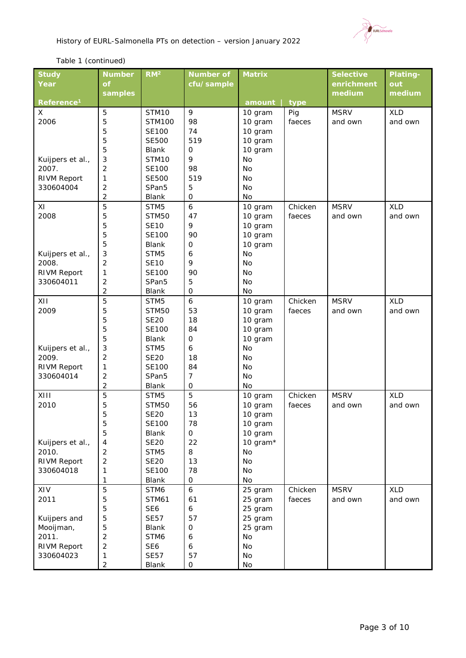

## *Table 1 (continued)*

| <b>Study</b>              | <b>Number</b>  | RM <sup>2</sup>   | <b>Number of</b> | <b>Matrix</b> |         | <b>Selective</b> | Plating-   |
|---------------------------|----------------|-------------------|------------------|---------------|---------|------------------|------------|
| Year                      | <b>of</b>      |                   | cfu/sample       |               |         | enrichment       | out        |
|                           | samples        |                   |                  |               |         | medium           | medium     |
| Reference <sup>1</sup>    |                |                   |                  | amount        | type    |                  |            |
| X                         | 5              | STM10             | 9                | 10 gram       | Pig     | <b>MSRV</b>      | <b>XLD</b> |
| 2006                      | 5              | <b>STM100</b>     | 98               | 10 gram       | faeces  | and own          | and own    |
|                           | 5              | <b>SE100</b>      | 74               | 10 gram       |         |                  |            |
|                           | 5              | <b>SE500</b>      | 519              | 10 gram       |         |                  |            |
|                           | 5              | <b>Blank</b>      | 0                | 10 gram       |         |                  |            |
| Kuijpers et al.,          | 3              | STM <sub>10</sub> | 9                | <b>No</b>     |         |                  |            |
| 2007.                     | $\overline{2}$ | <b>SE100</b>      | 98               | <b>No</b>     |         |                  |            |
| <b>RIVM Report</b>        | 1              | <b>SE500</b>      | 519              | <b>No</b>     |         |                  |            |
| 330604004                 | 2              | SPan <sub>5</sub> | 5                | <b>No</b>     |         |                  |            |
|                           | $\overline{2}$ | Blank             | $\mathbf 0$      | No            |         |                  |            |
| XI                        | 5              | STM5              | $\boldsymbol{6}$ | 10 gram       | Chicken | <b>MSRV</b>      | <b>XLD</b> |
| 2008                      | 5              | <b>STM50</b>      | 47               | 10 gram       | faeces  | and own          | and own    |
|                           | 5              | <b>SE10</b>       | 9                | 10 gram       |         |                  |            |
|                           | 5              | <b>SE100</b>      | 90               | 10 gram       |         |                  |            |
|                           | 5              | <b>Blank</b>      | $\mathbf 0$      | 10 gram       |         |                  |            |
| Kuijpers et al.,          | 3              | STM5              | 6                | No            |         |                  |            |
| 2008.                     | $\overline{2}$ | <b>SE10</b>       | 9                | No            |         |                  |            |
| <b>RIVM Report</b>        | 1              | <b>SE100</b>      | 90               | No            |         |                  |            |
| 330604011                 | 2              | SPan <sub>5</sub> | 5                | No            |         |                  |            |
|                           | 2              | Blank             | $\mathbf 0$      | No            |         |                  |            |
| XII                       | 5              | STM5              | $\boldsymbol{6}$ | 10 gram       | Chicken | <b>MSRV</b>      | <b>XLD</b> |
| 2009                      | 5              | <b>STM50</b>      | 53               | 10 gram       | faeces  | and own          | and own    |
|                           | 5              | <b>SE20</b>       | 18               | 10 gram       |         |                  |            |
|                           | 5              | SE100             | 84               | 10 gram       |         |                  |            |
|                           | 5              | <b>Blank</b>      | $\mathbf 0$      | 10 gram       |         |                  |            |
|                           | 3              | STM5              | 6                | <b>No</b>     |         |                  |            |
| Kuijpers et al.,<br>2009. | $\overline{2}$ | <b>SE20</b>       | 18               | <b>No</b>     |         |                  |            |
|                           |                | <b>SE100</b>      | 84               | <b>No</b>     |         |                  |            |
| <b>RIVM Report</b>        | 1              |                   | 7                | <b>No</b>     |         |                  |            |
| 330604014                 | 2              | SPan <sub>5</sub> |                  |               |         |                  |            |
|                           | 2              | Blank             | $\mathbf 0$      | No            |         |                  |            |
| XIII                      | 5              | STM <sub>5</sub>  | 5                | 10 gram       | Chicken | <b>MSRV</b>      | <b>XLD</b> |
| 2010                      | 5              | <b>STM50</b>      | 56               | 10 gram       | faeces  | and own          | and own    |
|                           | 5              | <b>SE20</b>       | 13               | 10 gram       |         |                  |            |
|                           | 5              | <b>SE100</b>      | 78               | 10 gram       |         |                  |            |
|                           | 5              | Blank             | $\mathsf{O}$     | 10 gram       |         |                  |            |
| Kuijpers et al.,          | 4              | <b>SE20</b>       | 22               | 10 gram*      |         |                  |            |
| 2010.                     | 2              | STM5              | 8                | No            |         |                  |            |
| <b>RIVM Report</b>        | 2              | <b>SE20</b>       | 13               | No            |         |                  |            |
| 330604018                 | 1              | <b>SE100</b>      | 78               | No            |         |                  |            |
|                           | 1              | Blank             | $\mathbf 0$      | No            |         |                  |            |
| XIV                       | 5              | STM6              | $\boldsymbol{6}$ | 25 gram       | Chicken | <b>MSRV</b>      | <b>XLD</b> |
| 2011                      | 5              | <b>STM61</b>      | 61               | 25 gram       | faeces  | and own          | and own    |
|                           | 5              | SE <sub>6</sub>   | 6                | 25 gram       |         |                  |            |
| Kuijpers and              | 5              | <b>SE57</b>       | 57               | 25 gram       |         |                  |            |
| Mooijman,                 | 5              | Blank             | $\mathbf 0$      | 25 gram       |         |                  |            |
| 2011.                     | 2              | STM6              | 6                | <b>No</b>     |         |                  |            |
| <b>RIVM Report</b>        | 2              | SE <sub>6</sub>   | 6                | No            |         |                  |            |
| 330604023                 | 1              | <b>SE57</b>       | 57               | No            |         |                  |            |
|                           | $\overline{2}$ | Blank             | $\mbox{O}$       | No            |         |                  |            |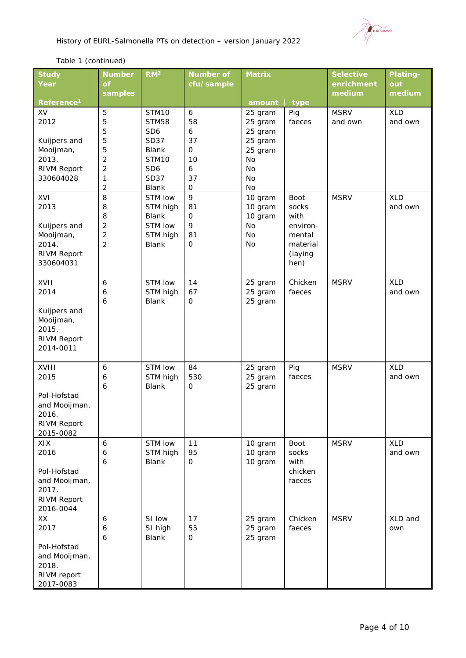

# *Table 1 (continued)*

| Year<br>cfu/sample<br>out<br>Οf<br>enrichment<br>medium<br>samples<br>medium<br>Reference <sup>1</sup><br>type<br>amount<br>$\mathbf{6}$<br>XV<br>5<br>STM10<br>Pig<br><b>MSRV</b><br><b>XLD</b><br>25 gram<br>2012<br>5<br><b>STM58</b><br>58<br>faeces<br>and own<br>25 gram<br>and own<br>$\overline{5}$<br>SD <sub>6</sub><br>6<br>25 gram<br>5<br><b>SD37</b><br>37<br>25 gram<br>Kuijpers and<br>5<br>Mooijman,<br><b>Blank</b><br>$\mathbf{O}$<br>25 gram<br>$\overline{c}$<br>2013.<br>STM10<br>10<br>No<br><b>RIVM Report</b><br>2<br>SD <sub>6</sub><br>6<br>No<br>1<br><b>SD37</b><br>37<br>330604028<br>No | <b>Study</b> | <b>Number</b> | RM <sup>2</sup> | <b>Number of</b> | <b>Matrix</b> |  | <b>Selective</b> | <b>Plating-</b> |
|------------------------------------------------------------------------------------------------------------------------------------------------------------------------------------------------------------------------------------------------------------------------------------------------------------------------------------------------------------------------------------------------------------------------------------------------------------------------------------------------------------------------------------------------------------------------------------------------------------------------|--------------|---------------|-----------------|------------------|---------------|--|------------------|-----------------|
|                                                                                                                                                                                                                                                                                                                                                                                                                                                                                                                                                                                                                        |              |               |                 |                  |               |  |                  |                 |
|                                                                                                                                                                                                                                                                                                                                                                                                                                                                                                                                                                                                                        |              |               |                 |                  |               |  |                  |                 |
|                                                                                                                                                                                                                                                                                                                                                                                                                                                                                                                                                                                                                        |              |               |                 |                  |               |  |                  |                 |
|                                                                                                                                                                                                                                                                                                                                                                                                                                                                                                                                                                                                                        |              |               |                 |                  |               |  |                  |                 |
|                                                                                                                                                                                                                                                                                                                                                                                                                                                                                                                                                                                                                        |              |               |                 |                  |               |  |                  |                 |
|                                                                                                                                                                                                                                                                                                                                                                                                                                                                                                                                                                                                                        |              |               |                 |                  |               |  |                  |                 |
|                                                                                                                                                                                                                                                                                                                                                                                                                                                                                                                                                                                                                        |              |               |                 |                  |               |  |                  |                 |
|                                                                                                                                                                                                                                                                                                                                                                                                                                                                                                                                                                                                                        |              |               |                 |                  |               |  |                  |                 |
|                                                                                                                                                                                                                                                                                                                                                                                                                                                                                                                                                                                                                        |              |               |                 |                  |               |  |                  |                 |
|                                                                                                                                                                                                                                                                                                                                                                                                                                                                                                                                                                                                                        |              |               |                 |                  |               |  |                  |                 |
|                                                                                                                                                                                                                                                                                                                                                                                                                                                                                                                                                                                                                        |              |               |                 |                  |               |  |                  |                 |
| $\overline{2}$<br>Blank<br>$\mathbf 0$<br>No                                                                                                                                                                                                                                                                                                                                                                                                                                                                                                                                                                           |              |               |                 |                  |               |  |                  |                 |
| 9<br>8<br><b>XLD</b><br>XVI<br>STM low<br>10 gram<br>Boot<br><b>MSRV</b>                                                                                                                                                                                                                                                                                                                                                                                                                                                                                                                                               |              |               |                 |                  |               |  |                  |                 |
| 2013<br>and own<br>8<br>STM high<br>81<br>10 gram<br>socks                                                                                                                                                                                                                                                                                                                                                                                                                                                                                                                                                             |              |               |                 |                  |               |  |                  |                 |
| 10 gram<br>with<br>8<br><b>Blank</b><br>$\mathbf 0$                                                                                                                                                                                                                                                                                                                                                                                                                                                                                                                                                                    |              |               |                 |                  |               |  |                  |                 |
| 9<br>$\overline{2}$<br>STM low<br><b>No</b><br>Kuijpers and<br>environ-                                                                                                                                                                                                                                                                                                                                                                                                                                                                                                                                                |              |               |                 |                  |               |  |                  |                 |
| $\overline{2}$<br><b>No</b><br>Mooijman,<br>STM high<br>81<br>mental                                                                                                                                                                                                                                                                                                                                                                                                                                                                                                                                                   |              |               |                 |                  |               |  |                  |                 |
| $\overline{2}$<br>2014.<br>$\mathsf{O}$<br><b>Blank</b><br>No<br>material                                                                                                                                                                                                                                                                                                                                                                                                                                                                                                                                              |              |               |                 |                  |               |  |                  |                 |
| <b>RIVM Report</b><br>(laying                                                                                                                                                                                                                                                                                                                                                                                                                                                                                                                                                                                          |              |               |                 |                  |               |  |                  |                 |
| 330604031<br>hen)                                                                                                                                                                                                                                                                                                                                                                                                                                                                                                                                                                                                      |              |               |                 |                  |               |  |                  |                 |
| XVII<br>STM low<br>14<br><b>MSRV</b><br><b>XLD</b><br>6<br>25 gram<br>Chicken                                                                                                                                                                                                                                                                                                                                                                                                                                                                                                                                          |              |               |                 |                  |               |  |                  |                 |
| 2014<br>STM high<br>67<br>25 gram<br>and own<br>6<br>faeces                                                                                                                                                                                                                                                                                                                                                                                                                                                                                                                                                            |              |               |                 |                  |               |  |                  |                 |
| <b>Blank</b><br>25 gram<br>6<br>$\mathbf 0$                                                                                                                                                                                                                                                                                                                                                                                                                                                                                                                                                                            |              |               |                 |                  |               |  |                  |                 |
| Kuijpers and                                                                                                                                                                                                                                                                                                                                                                                                                                                                                                                                                                                                           |              |               |                 |                  |               |  |                  |                 |
| Mooijman,                                                                                                                                                                                                                                                                                                                                                                                                                                                                                                                                                                                                              |              |               |                 |                  |               |  |                  |                 |
| 2015.                                                                                                                                                                                                                                                                                                                                                                                                                                                                                                                                                                                                                  |              |               |                 |                  |               |  |                  |                 |
| <b>RIVM Report</b>                                                                                                                                                                                                                                                                                                                                                                                                                                                                                                                                                                                                     |              |               |                 |                  |               |  |                  |                 |
| 2014-0011                                                                                                                                                                                                                                                                                                                                                                                                                                                                                                                                                                                                              |              |               |                 |                  |               |  |                  |                 |
|                                                                                                                                                                                                                                                                                                                                                                                                                                                                                                                                                                                                                        |              |               |                 |                  |               |  |                  |                 |
| STM low<br><b>XLD</b><br>XVIII<br>84<br><b>MSRV</b><br>6<br>25 gram<br>Pig                                                                                                                                                                                                                                                                                                                                                                                                                                                                                                                                             |              |               |                 |                  |               |  |                  |                 |
| STM high<br>530<br>2015<br>6<br>25 gram<br>faeces<br>and own                                                                                                                                                                                                                                                                                                                                                                                                                                                                                                                                                           |              |               |                 |                  |               |  |                  |                 |
| 6<br><b>Blank</b><br>$\mathbf 0$<br>25 gram                                                                                                                                                                                                                                                                                                                                                                                                                                                                                                                                                                            |              |               |                 |                  |               |  |                  |                 |
| Pol-Hofstad                                                                                                                                                                                                                                                                                                                                                                                                                                                                                                                                                                                                            |              |               |                 |                  |               |  |                  |                 |
| and Mooijman,                                                                                                                                                                                                                                                                                                                                                                                                                                                                                                                                                                                                          |              |               |                 |                  |               |  |                  |                 |
| 2016.                                                                                                                                                                                                                                                                                                                                                                                                                                                                                                                                                                                                                  |              |               |                 |                  |               |  |                  |                 |
| <b>RIVM Report</b>                                                                                                                                                                                                                                                                                                                                                                                                                                                                                                                                                                                                     |              |               |                 |                  |               |  |                  |                 |
| 2015-0082                                                                                                                                                                                                                                                                                                                                                                                                                                                                                                                                                                                                              |              |               |                 |                  |               |  |                  |                 |
| 11<br><b>XLD</b><br>XIX<br>$\boldsymbol{6}$<br>STM low<br>10 gram<br>Boot<br><b>MSRV</b>                                                                                                                                                                                                                                                                                                                                                                                                                                                                                                                               |              |               |                 |                  |               |  |                  |                 |
| 2016<br>95<br>6<br>STM high<br>10 gram<br>socks<br>and own                                                                                                                                                                                                                                                                                                                                                                                                                                                                                                                                                             |              |               |                 |                  |               |  |                  |                 |
| <b>Blank</b><br>10 gram<br>with<br>6<br>0                                                                                                                                                                                                                                                                                                                                                                                                                                                                                                                                                                              |              |               |                 |                  |               |  |                  |                 |
| chicken<br>Pol-Hofstad                                                                                                                                                                                                                                                                                                                                                                                                                                                                                                                                                                                                 |              |               |                 |                  |               |  |                  |                 |
| and Mooijman,<br>faeces                                                                                                                                                                                                                                                                                                                                                                                                                                                                                                                                                                                                |              |               |                 |                  |               |  |                  |                 |
| 2017.                                                                                                                                                                                                                                                                                                                                                                                                                                                                                                                                                                                                                  |              |               |                 |                  |               |  |                  |                 |
| <b>RIVM Report</b>                                                                                                                                                                                                                                                                                                                                                                                                                                                                                                                                                                                                     |              |               |                 |                  |               |  |                  |                 |
| 2016-0044                                                                                                                                                                                                                                                                                                                                                                                                                                                                                                                                                                                                              |              |               |                 |                  |               |  |                  |                 |
| SI low<br>17<br><b>MSRV</b><br>XLD and<br>XX<br>6<br>25 gram<br>Chicken                                                                                                                                                                                                                                                                                                                                                                                                                                                                                                                                                |              |               |                 |                  |               |  |                  |                 |
| 2017<br>SI high<br>25 gram<br>faeces<br>6<br>55<br>own                                                                                                                                                                                                                                                                                                                                                                                                                                                                                                                                                                 |              |               |                 |                  |               |  |                  |                 |
| Blank<br>25 gram<br>6<br>0                                                                                                                                                                                                                                                                                                                                                                                                                                                                                                                                                                                             |              |               |                 |                  |               |  |                  |                 |
| Pol-Hofstad                                                                                                                                                                                                                                                                                                                                                                                                                                                                                                                                                                                                            |              |               |                 |                  |               |  |                  |                 |
| and Mooijman,                                                                                                                                                                                                                                                                                                                                                                                                                                                                                                                                                                                                          |              |               |                 |                  |               |  |                  |                 |
| 2018.                                                                                                                                                                                                                                                                                                                                                                                                                                                                                                                                                                                                                  |              |               |                 |                  |               |  |                  |                 |
| RIVM report<br>2017-0083                                                                                                                                                                                                                                                                                                                                                                                                                                                                                                                                                                                               |              |               |                 |                  |               |  |                  |                 |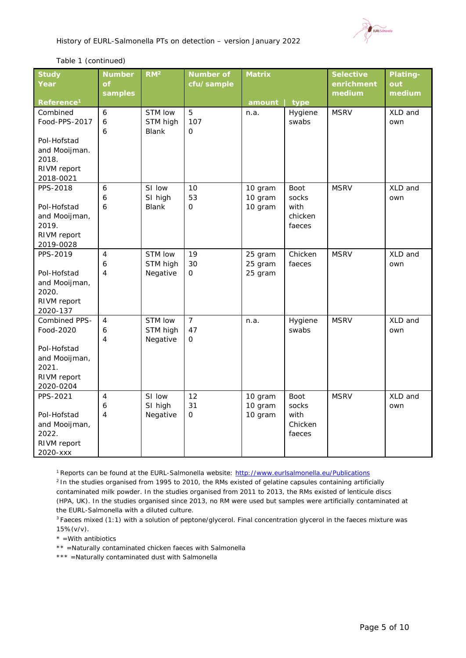

#### *Table 1 (continued)*

| <b>Study</b><br>Year   | <b>Number</b><br>of | RM <sup>2</sup> | <b>Number of</b><br>cfu/sample | <b>Matrix</b> |         | <b>Selective</b><br>enrichment | <b>Plating-</b><br>out |
|------------------------|---------------------|-----------------|--------------------------------|---------------|---------|--------------------------------|------------------------|
|                        | samples             |                 |                                |               |         | medium                         | medium                 |
| Reference <sup>1</sup> |                     |                 |                                | amount        | type    |                                |                        |
| Combined               | 6                   | STM low         | 5                              | n.a.          | Hygiene | <b>MSRV</b>                    | XLD and                |
| Food-PPS-2017          | 6                   | STM high        | 107                            |               | swabs   |                                | own                    |
|                        | 6                   | <b>Blank</b>    | $\Omega$                       |               |         |                                |                        |
| Pol-Hofstad            |                     |                 |                                |               |         |                                |                        |
| and Mooijman.          |                     |                 |                                |               |         |                                |                        |
| 2018.                  |                     |                 |                                |               |         |                                |                        |
| RIVM report            |                     |                 |                                |               |         |                                |                        |
| 2018-0021              |                     |                 |                                |               |         |                                |                        |
| PPS-2018               | 6                   | SI low          | 10                             | 10 gram       | Boot    | <b>MSRV</b>                    | XLD and                |
|                        | 6                   | SI high         | 53                             | 10 gram       | socks   |                                | own                    |
| Pol-Hofstad            | 6                   | <b>Blank</b>    | 0                              | 10 gram       | with    |                                |                        |
| and Mooijman,          |                     |                 |                                |               | chicken |                                |                        |
| 2019.                  |                     |                 |                                |               | faeces  |                                |                        |
| RIVM report            |                     |                 |                                |               |         |                                |                        |
| 2019-0028              |                     |                 |                                |               |         |                                |                        |
| PPS-2019               | 4                   | STM low         | 19                             | 25 gram       | Chicken | <b>MSRV</b>                    | XLD and                |
|                        | 6                   | STM high        | 30                             | 25 gram       | faeces  |                                | own                    |
| Pol-Hofstad            | $\overline{4}$      | Negative        | $\Omega$                       | 25 gram       |         |                                |                        |
| and Mooijman,<br>2020. |                     |                 |                                |               |         |                                |                        |
| RIVM report            |                     |                 |                                |               |         |                                |                        |
| 2020-137               |                     |                 |                                |               |         |                                |                        |
| Combined PPS-          | $\overline{4}$      | STM low         | $\overline{7}$                 | n.a.          | Hygiene | <b>MSRV</b>                    | XLD and                |
| Food-2020              | 6                   | STM high        | 47                             |               | swabs   |                                | own                    |
|                        | 4                   | Negative        | $\mathbf{O}$                   |               |         |                                |                        |
| Pol-Hofstad            |                     |                 |                                |               |         |                                |                        |
| and Mooijman,          |                     |                 |                                |               |         |                                |                        |
| 2021.                  |                     |                 |                                |               |         |                                |                        |
| RIVM report            |                     |                 |                                |               |         |                                |                        |
| 2020-0204              |                     |                 |                                |               |         |                                |                        |
| PPS-2021               | 4                   | SI low          | 12                             | 10 gram       | Boot    | <b>MSRV</b>                    | XLD and                |
|                        | $\boldsymbol{6}$    | SI high         | 31                             | 10 gram       | socks   |                                | own                    |
| Pol-Hofstad            | $\overline{4}$      | Negative        | O                              | 10 gram       | with    |                                |                        |
| and Mooijman,          |                     |                 |                                |               | Chicken |                                |                        |
| 2022.                  |                     |                 |                                |               | faeces  |                                |                        |
| RIVM report            |                     |                 |                                |               |         |                                |                        |
| 2020-xxx               |                     |                 |                                |               |         |                                |                        |

1 Reports can be found at the EURL-*Salmonella* website[: http://www.eurlsalmonella.eu/Publications](http://www.eurlsalmonella.eu/Publications)

2 In the studies organised from 1995 to 2010, the RMs existed of gelatine capsules containing artificially contaminated milk powder. In the studies organised from 2011 to 2013, the RMs existed of lenticule discs (HPA, UK). In the studies organised since 2013, no RM were used but samples were artificially contaminated at the EURL-*Salmonella* with a diluted culture.

<sup>3</sup> Faeces mixed (1:1) with a solution of peptone/glycerol. Final concentration glycerol in the faeces mixture was 15%(v/v).

 $*$  =With antibiotics

\*\* =Naturally contaminated chicken faeces with *Salmonella*

\*\*\* =Naturally contaminated dust with *Salmonella*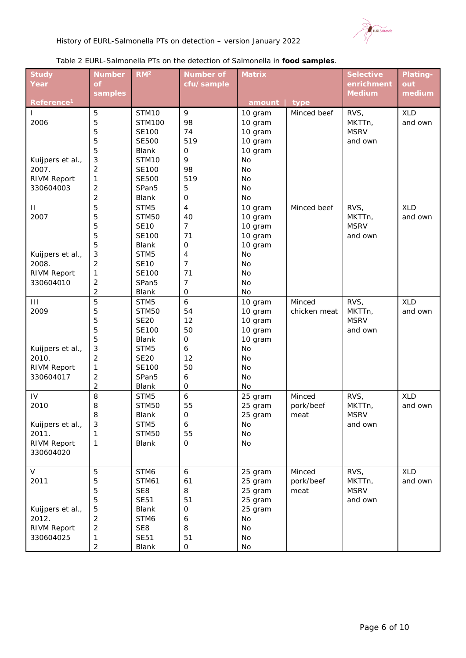

#### *Table 2 EURL-*Salmonella *PTs on the detection of* Salmonella *in food samples.*

| <b>Study</b>           | <b>Number</b>           | RM <sup>2</sup>   | <b>Number of</b> | <b>Matrix</b> |              | <b>Selective</b> | Plating-   |
|------------------------|-------------------------|-------------------|------------------|---------------|--------------|------------------|------------|
| Year                   | $\mathbf{f}$            |                   | cfu/sample       |               |              | enrichment       | out        |
|                        | samples                 |                   |                  |               |              | <b>Medium</b>    | medium     |
| Reference <sup>1</sup> |                         |                   |                  | amount        | type         |                  |            |
| T                      | 5                       | STM10             | 9                | 10 gram       | Minced beef  | RVS,             | <b>XLD</b> |
| 2006                   | 5                       | <b>STM100</b>     | 98               | 10 gram       |              | MKTTn,           | and own    |
|                        | 5                       | <b>SE100</b>      | 74               | 10 gram       |              | <b>MSRV</b>      |            |
|                        | 5                       | <b>SE500</b>      | 519              | 10 gram       |              | and own          |            |
|                        | 5                       | Blank             | $\mathbf 0$      | 10 gram       |              |                  |            |
| Kuijpers et al.,       | 3                       | STM10             | 9                | No            |              |                  |            |
| 2007.                  | $\overline{2}$          | <b>SE100</b>      | 98               | No            |              |                  |            |
| <b>RIVM Report</b>     | 1                       | <b>SE500</b>      | 519              | No            |              |                  |            |
| 330604003              | $\mathbf 2$             | SPan <sub>5</sub> | 5                | No            |              |                  |            |
|                        | $\overline{2}$          | Blank             | $\mathbf 0$      | No            |              |                  |            |
| $\mathbf{H}$           | 5                       | STM5              | $\overline{4}$   | 10 gram       | Minced beef  | RVS,             | <b>XLD</b> |
| 2007                   | 5                       | <b>STM50</b>      | 40               | 10 gram       |              | MKTTn,           | and own    |
|                        | 5                       | <b>SE10</b>       | $\overline{7}$   | 10 gram       |              | <b>MSRV</b>      |            |
|                        | 5                       | <b>SE100</b>      | 71               | 10 gram       |              | and own          |            |
|                        | 5                       | <b>Blank</b>      | $\mathsf{O}$     | 10 gram       |              |                  |            |
| Kuijpers et al.,       | $\sqrt{3}$              | STM <sub>5</sub>  | 4                | No            |              |                  |            |
| 2008.                  | $\overline{2}$          | <b>SE10</b>       | $\overline{7}$   | No            |              |                  |            |
| <b>RIVM Report</b>     | 1                       | <b>SE100</b>      | 71               | No            |              |                  |            |
| 330604010              | $\mathbf 2$             | SPan <sub>5</sub> | $\overline{7}$   | No            |              |                  |            |
|                        | $\overline{2}$          | Blank             | $\mathbf 0$      | No            |              |                  |            |
| $\mathbf{III}$         | 5                       | STM5              | 6                | 10 gram       | Minced       | RVS,             | <b>XLD</b> |
| 2009                   | 5                       | <b>STM50</b>      | 54               | 10 gram       | chicken meat | MKTTn,           | and own    |
|                        | 5                       | <b>SE20</b>       | 12               | 10 gram       |              | <b>MSRV</b>      |            |
|                        | 5                       | <b>SE100</b>      | 50               | 10 gram       |              | and own          |            |
|                        | 5                       | Blank             | $\mathsf O$      | 10 gram       |              |                  |            |
| Kuijpers et al.,       | $\sqrt{3}$              | STM5              | 6                | No            |              |                  |            |
| 2010.                  | $\overline{2}$          | <b>SE20</b>       | 12               | No            |              |                  |            |
| <b>RIVM Report</b>     | $\mathbf{1}$            | <b>SE100</b>      | 50               | No            |              |                  |            |
| 330604017              | $\mathbf 2$             | SPan <sub>5</sub> | 6                | No            |              |                  |            |
|                        | $\overline{\mathbf{c}}$ | Blank             | $\mathsf{O}$     | No            |              |                  |            |
| IV                     | 8                       | STM5              | $\boldsymbol{6}$ | 25 gram       | Minced       | RVS,             | <b>XLD</b> |
| 2010                   | 8                       | <b>STM50</b>      | 55               | 25 gram       | pork/beef    | MKTTn,           | and own    |
|                        | 8                       | Blank             | $\mathbf 0$      | 25 gram       | meat         | <b>MSRV</b>      |            |
| Kuijpers et al.,       | $\mathbf{3}$            | STM5              | 6                | No            |              | and own          |            |
| 2011.                  | 1                       | <b>STM50</b>      | 55               | No            |              |                  |            |
| <b>RIVM Report</b>     | $\mathbf{1}$            | <b>Blank</b>      | 0                | No            |              |                  |            |
| 330604020              |                         |                   |                  |               |              |                  |            |
|                        |                         |                   |                  |               |              |                  |            |
| V                      | 5                       | STM6              | 6                | 25 gram       | Minced       | RVS,             | <b>XLD</b> |
| 2011                   | 5                       | <b>STM61</b>      | 61               | 25 gram       | pork/beef    | MKTTn,           | and own    |
|                        | 5                       | SE8               | 8                | 25 gram       | meat         | <b>MSRV</b>      |            |
|                        | 5                       | <b>SE51</b>       | 51               | 25 gram       |              | and own          |            |
| Kuijpers et al.,       | 5                       | <b>Blank</b>      | 0                | 25 gram       |              |                  |            |
| 2012.                  | $\overline{2}$          | STM6              | 6                | No            |              |                  |            |
| <b>RIVM Report</b>     | $\overline{2}$          | SE8               | 8                | No            |              |                  |            |
| 330604025              | 1                       | <b>SE51</b>       | 51               | No            |              |                  |            |
|                        | $\overline{c}$          | Blank             | 0                | No            |              |                  |            |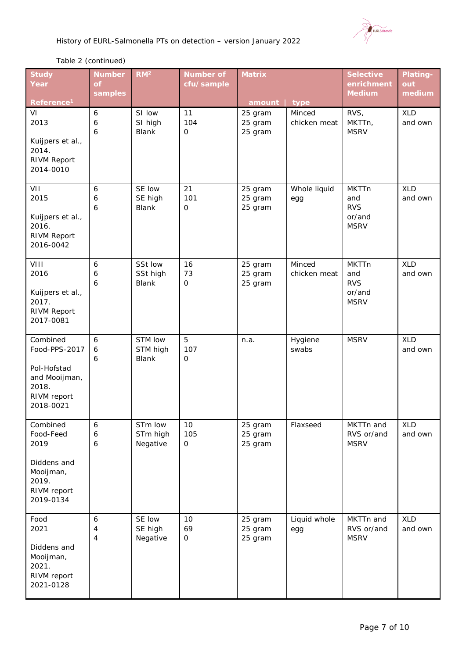

# *Table 2 (continued)*

| <b>Study</b><br>Year                                                                           | <b>Number</b><br><b>of</b> | RM <sup>2</sup>                     | <b>Number of</b><br>cfu/sample | <b>Matrix</b>                 |                        | <b>Selective</b><br>enrichment                             | <b>Plating-</b><br>out |
|------------------------------------------------------------------------------------------------|----------------------------|-------------------------------------|--------------------------------|-------------------------------|------------------------|------------------------------------------------------------|------------------------|
| Reference <sup>1</sup>                                                                         | samples                    |                                     |                                | amount   type                 |                        | <b>Medium</b>                                              | medium                 |
| VI<br>2013<br>Kuijpers et al.,<br>2014.<br><b>RIVM Report</b><br>2014-0010                     | 6<br>6<br>6                | SI low<br>SI high<br><b>Blank</b>   | 11<br>104<br>$\mathbf 0$       | 25 gram<br>25 gram<br>25 gram | Minced<br>chicken meat | RVS,<br>MKTTn,<br><b>MSRV</b>                              | <b>XLD</b><br>and own  |
| VII<br>2015<br>Kuijpers et al.,<br>2016.<br><b>RIVM Report</b><br>2016-0042                    | 6<br>6<br>6                | SE low<br>SE high<br><b>Blank</b>   | 21<br>101<br>$\mathbf 0$       | 25 gram<br>25 gram<br>25 gram | Whole liquid<br>egg    | <b>MKTTn</b><br>and<br><b>RVS</b><br>or/and<br><b>MSRV</b> | <b>XLD</b><br>and own  |
| VIII<br>2016<br>Kuijpers et al.,<br>2017.<br>RIVM Report<br>2017-0081                          | 6<br>6<br>6                | SSt low<br>SSt high<br><b>Blank</b> | 16<br>73<br>$\mathsf O$        | 25 gram<br>25 gram<br>25 gram | Minced<br>chicken meat | <b>MKTTn</b><br>and<br><b>RVS</b><br>or/and<br><b>MSRV</b> | <b>XLD</b><br>and own  |
| Combined<br>Food-PPS-2017<br>Pol-Hofstad<br>and Mooijman,<br>2018.<br>RIVM report<br>2018-0021 | 6<br>6<br>6                | STM low<br>STM high<br><b>Blank</b> | 5<br>107<br>$\mathsf O$        | n.a.                          | Hygiene<br>swabs       | <b>MSRV</b>                                                | <b>XLD</b><br>and own  |
| Combined<br>Food-Feed<br>2019<br>Diddens and<br>Mooijman,<br>2019.<br>RIVM report<br>2019-0134 | 6<br>6<br>6                | STm low<br>STm high<br>Negative     | 10<br>105<br>$\mathsf{O}$      | 25 gram<br>25 gram<br>25 gram | Flaxseed               | MKTTn and<br>RVS or/and<br><b>MSRV</b>                     | <b>XLD</b><br>and own  |
| Food<br>2021<br>Diddens and<br>Mooijman,<br>2021.<br>RIVM report<br>2021-0128                  | 6<br>4<br>4                | SE low<br>SE high<br>Negative       | 10<br>69<br>$\mathbf 0$        | 25 gram<br>25 gram<br>25 gram | Liquid whole<br>egg    | MKTTn and<br>RVS or/and<br><b>MSRV</b>                     | <b>XLD</b><br>and own  |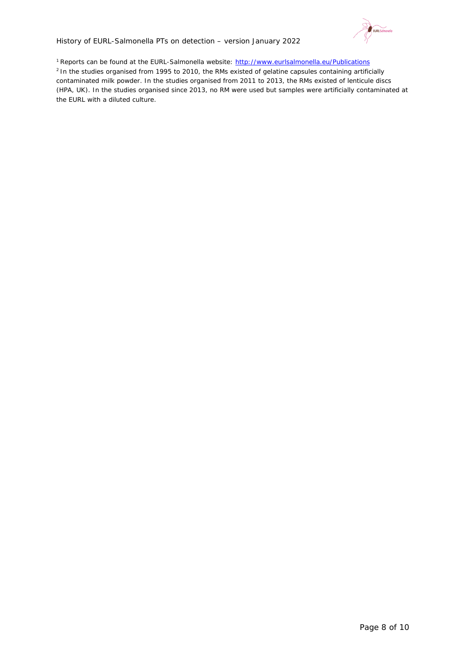

<sup>1</sup> Reports can be found at the EURL-Salmonella website[: http://www.eurlsalmonella.eu/Publications](http://www.eurlsalmonella.eu/Publications) <sup>2</sup> In the studies organised from 1995 to 2010, the RMs existed of gelatine capsules containing artificially contaminated milk powder. In the studies organised from 2011 to 2013, the RMs existed of lenticule discs (HPA, UK). In the studies organised since 2013, no RM were used but samples were artificially contaminated at the EURL with a diluted culture.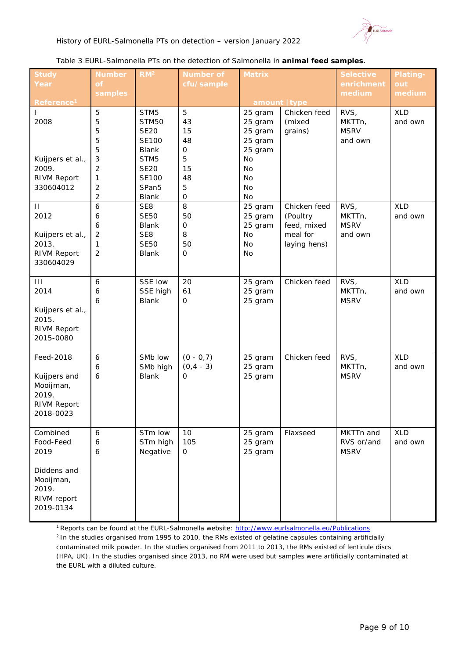

#### *Table 3 EURL-*Salmonella *PTs on the detection of* Salmonella *in animal feed samples.*

| <b>Study</b>                                                                                   | <b>Number</b>                                     | RM <sup>2</sup>                                                                                     | <b>Number of</b>                                            | <b>Matrix</b>                                                                       |                                                                     | <b>Selective</b>                         | Plating-              |
|------------------------------------------------------------------------------------------------|---------------------------------------------------|-----------------------------------------------------------------------------------------------------|-------------------------------------------------------------|-------------------------------------------------------------------------------------|---------------------------------------------------------------------|------------------------------------------|-----------------------|
| Year                                                                                           | of<br>samples                                     |                                                                                                     | cfu/sample                                                  |                                                                                     |                                                                     | enrichment<br>medium                     | out<br>medium         |
| Reference <sup>1</sup>                                                                         |                                                   |                                                                                                     |                                                             | amount   type                                                                       |                                                                     |                                          |                       |
| $\mathbf{I}$<br>2008<br>Kuijpers et al.,<br>2009.<br><b>RIVM Report</b>                        | 5<br>5<br>5<br>5<br>5<br>3<br>$\overline{c}$<br>1 | STM5<br><b>STM50</b><br><b>SE20</b><br><b>SE100</b><br>Blank<br>STM5<br><b>SE20</b><br><b>SE100</b> | 5<br>43<br>15<br>48<br>$\mathsf{O}\xspace$<br>5<br>15<br>48 | 25 gram<br>25 gram<br>25 gram<br>25 gram<br>25 gram<br>No<br><b>No</b><br><b>No</b> | Chicken feed<br>(mixed<br>grains)                                   | RVS,<br>MKTTn,<br><b>MSRV</b><br>and own | <b>XLD</b><br>and own |
| 330604012                                                                                      | $\overline{c}$<br>$\overline{c}$                  | SPan <sub>5</sub><br>Blank                                                                          | 5<br>$\mathbf 0$                                            | <b>No</b><br>No                                                                     |                                                                     |                                          |                       |
| $\mathbf{\mathsf{H}}$<br>2012<br>Kuijpers et al.,<br>2013.<br><b>RIVM Report</b><br>330604029  | 6<br>6<br>6<br>$\overline{2}$<br>1<br>2           | SE8<br><b>SE50</b><br><b>Blank</b><br>SE8<br><b>SE50</b><br>Blank                                   | 8<br>50<br>0<br>8<br>50<br>$\mathsf{O}\xspace$              | 25 gram<br>25 gram<br>25 gram<br>No<br>No<br>No                                     | Chicken feed<br>(Poultry<br>feed, mixed<br>meal for<br>laying hens) | RVS,<br>MKTTn,<br><b>MSRV</b><br>and own | <b>XLD</b><br>and own |
| $\mathbf{III}$<br>2014<br>Kuijpers et al.,<br>2015.<br><b>RIVM Report</b><br>2015-0080         | $\boldsymbol{6}$<br>6<br>6                        | SSE low<br>SSE high<br><b>Blank</b>                                                                 | 20<br>61<br>$\mathsf{O}$                                    | 25 gram<br>25 gram<br>25 gram                                                       | Chicken feed                                                        | RVS,<br>MKTTn,<br><b>MSRV</b>            | <b>XLD</b><br>and own |
| Feed-2018<br>Kuijpers and<br>Mooijman,<br>2019.<br><b>RIVM Report</b><br>2018-0023             | $\boldsymbol{6}$<br>6<br>6                        | SMb low<br>SMb high<br><b>Blank</b>                                                                 | $(0 - 0, 7)$<br>$(0, 4 - 3)$<br>$\mathbf 0$                 | 25 gram<br>25 gram<br>25 gram                                                       | Chicken feed                                                        | RVS,<br>MKTTn,<br><b>MSRV</b>            | <b>XLD</b><br>and own |
| Combined<br>Food-Feed<br>2019<br>Diddens and<br>Mooijman,<br>2019.<br>RIVM report<br>2019-0134 | $\boldsymbol{6}$<br>6<br>6                        | STm low<br>STm high<br>Negative                                                                     | 10<br>105<br>$\mathbf 0$                                    | 25 gram<br>25 gram<br>25 gram                                                       | Flaxseed                                                            | MKTTn and<br>RVS or/and<br><b>MSRV</b>   | <b>XLD</b><br>and own |

1 Reports can be found at the EURL-*Salmonella* website[: http://www.eurlsalmonella.eu/Publications](http://www.eurlsalmonella.eu/Publications) <sup>2</sup> In the studies organised from 1995 to 2010, the RMs existed of gelatine capsules containing artificially contaminated milk powder. In the studies organised from 2011 to 2013, the RMs existed of lenticule discs (HPA, UK). In the studies organised since 2013, no RM were used but samples were artificially contaminated at the EURL with a diluted culture.